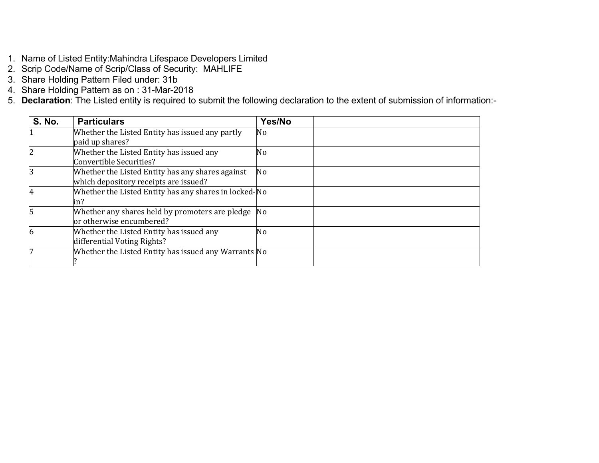- 1. Name of Listed Entity:Mahindra Lifespace Developers Limited
- 2. Scrip Code/Name of Scrip/Class of Security: MAHLIFE
- 3. Share Holding Pattern Filed under: 31b
- 4. Share Holding Pattern as on : 31-Mar-2018
- 5. **Declaration**: The Listed entity is required to submit the following declaration to the extent of submission of information:-

| <b>S. No.</b> | <b>Particulars</b>                                    | Yes/No |  |
|---------------|-------------------------------------------------------|--------|--|
|               | Whether the Listed Entity has issued any partly       | No     |  |
|               | paid up shares?                                       |        |  |
|               | Whether the Listed Entity has issued any              | No     |  |
|               | Convertible Securities?                               |        |  |
|               | Whether the Listed Entity has any shares against      | No     |  |
|               | which depository receipts are issued?                 |        |  |
|               | Whether the Listed Entity has any shares in locked-No |        |  |
|               | in?                                                   |        |  |
| 15            | Whether any shares held by promoters are pledge No    |        |  |
|               | or otherwise encumbered?                              |        |  |
| 6             | Whether the Listed Entity has issued any              | No     |  |
|               | differential Voting Rights?                           |        |  |
|               | Whether the Listed Entity has issued any Warrants No  |        |  |
|               |                                                       |        |  |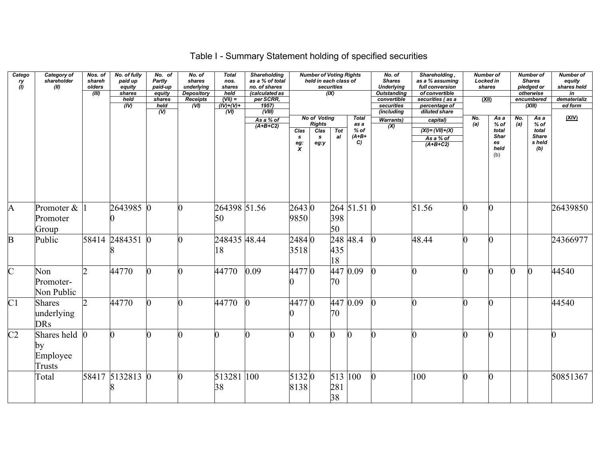# Table I - Summary Statement holding of specified securities

| Catego<br>ry<br>(l) | Category of<br>shareholder<br>(II)                            | Nos. of<br>shareh<br>olders<br>(III) | No. of fully<br>paid up<br>equity<br>shares<br>held<br>(IV) | No. of<br>Partly<br>paid-up<br>equity<br>shares<br>held | No. of<br>shares<br>underlying<br><b>Depository</b><br><b>Receipts</b><br>(VI) | <b>Total</b><br>nos.<br>shares<br>held<br>$(VII) =$<br>$(\overline{IV})+(V)+$ | <b>Shareholding</b><br>as a % of total<br>no. of shares<br>(calculated as<br>per SCRR,<br>1957) |                                    | <b>Number of Voting Rights</b><br>held in each class of              | securities<br>(IX) |                                                 | No. of<br><b>Shares</b><br><b>Underlying</b><br><b>Outstanding</b><br>convertible<br>securities | Shareholding,<br>as a % assuming<br>full conversion<br>of convertible<br>securities (as a<br>percentage of | <b>Number of</b><br>Locked in<br>(XII) | shares                                               |                | <b>Number of</b><br><b>Shares</b><br>pledged or<br>otherwise<br>encumbered<br>(XIII) | <b>Number of</b><br>equity<br>shares held<br>in<br>dematerializ<br>ed form |
|---------------------|---------------------------------------------------------------|--------------------------------------|-------------------------------------------------------------|---------------------------------------------------------|--------------------------------------------------------------------------------|-------------------------------------------------------------------------------|-------------------------------------------------------------------------------------------------|------------------------------------|----------------------------------------------------------------------|--------------------|-------------------------------------------------|-------------------------------------------------------------------------------------------------|------------------------------------------------------------------------------------------------------------|----------------------------------------|------------------------------------------------------|----------------|--------------------------------------------------------------------------------------|----------------------------------------------------------------------------|
|                     |                                                               |                                      |                                                             | $\overline{w}$                                          |                                                                                | (W)                                                                           | (VIII)<br>As a % of<br>$(A+B+C2)$                                                               | Clas<br>$\mathbf{s}$<br>eg: $\chi$ | <b>No of Voting</b><br><b>Rights</b><br>Clas<br>$\mathbf{s}$<br>eg:y | <b>Tot</b><br>al   | <b>Total</b><br>as a<br>$%$ of<br>$(A+B+$<br>C) | <i>(including</i><br><b>Warrants)</b><br>(X)                                                    | diluted share<br>capital)<br>$(XI) = (VII) + (X)$<br>As a % of<br>$(A+B+C2)$                               | No.<br>(a)                             | As a<br>$%$ of<br>total<br>Shar<br>es<br>held<br>(b) | No.<br>(a)     | As a<br>$%$ of<br>total<br><b>Share</b><br>s held<br>(b)                             | (XIV)                                                                      |
| $\mathbf{A}$        | Promoter &<br>Promoter<br>Group                               |                                      | 2643985 0                                                   |                                                         |                                                                                | 264398 51.56<br>50                                                            |                                                                                                 | 26430<br>9850                      |                                                                      | 398<br>50          | 264 51.51 0                                     |                                                                                                 | 51.56                                                                                                      | $\Omega$                               | O.                                                   |                |                                                                                      | 26439850                                                                   |
| $\mathbf{B}$        | Public                                                        |                                      | 58414 2484351                                               | $\Omega$                                                |                                                                                | 248435 48.44<br>18                                                            |                                                                                                 | 24840<br>3518                      |                                                                      | 435<br>18          | 248 48.4                                        |                                                                                                 | 48.44                                                                                                      | $\Omega$                               | n                                                    |                |                                                                                      | 24366977                                                                   |
| $\overline{C}$      | Non<br>Promoter-<br>Non Public                                | $\mathcal{D}$                        | 44770                                                       | 0                                                       |                                                                                | 44770                                                                         | 0.09                                                                                            | 44770                              |                                                                      | 70                 | 447 0.09                                        |                                                                                                 | ∩                                                                                                          | ∩                                      | $\overline{0}$                                       | $\overline{0}$ | $\mathbf{0}$                                                                         | 44540                                                                      |
| C1                  | <b>Shares</b><br>underlying<br><b>DRs</b>                     | $\overline{2}$                       | 44770                                                       | $\overline{0}$                                          |                                                                                | 44770                                                                         |                                                                                                 | 44770                              |                                                                      | 447<br>70          | 0.09                                            |                                                                                                 | $\Omega$                                                                                                   |                                        | <sup>0</sup>                                         |                |                                                                                      | 44540                                                                      |
| C <sub>2</sub>      | Shares held $\overline{0}$<br>by<br>Employee<br><b>Trusts</b> |                                      |                                                             |                                                         |                                                                                |                                                                               |                                                                                                 | $\overline{0}$                     |                                                                      | $\Omega$           | $\vert 0 \vert$                                 |                                                                                                 | 0                                                                                                          | $\Omega$                               | 0                                                    |                |                                                                                      | $\overline{0}$                                                             |
|                     | Total                                                         |                                      | 58417 5132813 0                                             |                                                         |                                                                                | 513281<br>38                                                                  | 100                                                                                             | 51320<br>8138                      |                                                                      | 513<br>281<br>38   | $ 100\rangle$                                   |                                                                                                 | 100                                                                                                        |                                        | $\overline{0}$                                       |                |                                                                                      | 50851367                                                                   |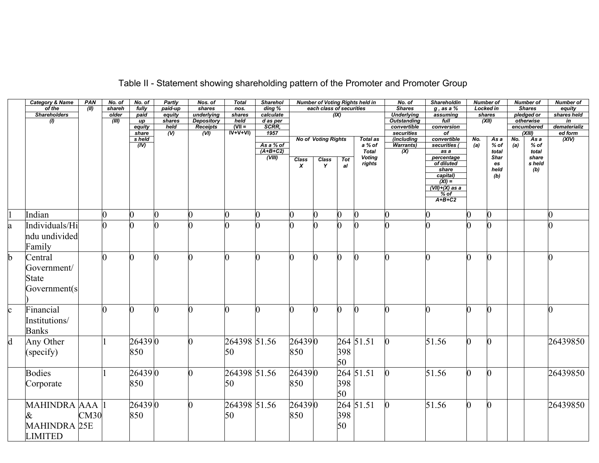|             | <b>Category &amp; Name</b> | PAN  | No. of | No. of          | <b>Partly</b>          | Nos. of                       | <b>Total</b>   | <b>Sharehol</b>   |                  |                            |          | <b>Number of Voting Rights held in</b> | No. of                    | Shareholdin                   |     | <b>Number of</b> |     | <b>Number of</b>     | <b>Number of</b>   |
|-------------|----------------------------|------|--------|-----------------|------------------------|-------------------------------|----------------|-------------------|------------------|----------------------------|----------|----------------------------------------|---------------------------|-------------------------------|-----|------------------|-----|----------------------|--------------------|
|             | of the                     | (II) | shareh | fully           | paid-up                | shares                        | nos.           | ding %            |                  | each class of securities   |          |                                        | <b>Shares</b>             | $g$ , as a $%$                |     | <b>Locked in</b> |     | <b>Shares</b>        | equity             |
|             | <b>Shareholders</b>        |      | older  | paid            | equity                 | underlying                    | shares         | calculate         |                  |                            | (IX)     |                                        | <b>Underlying</b>         | assuming                      |     | shares           |     | pledged or           | shares held        |
|             | (1)                        |      | (III)  | up              | shares                 | <b>Depository</b>             | held<br>$N =$  | d as per<br>SCRR, |                  |                            |          |                                        | <b>Outstanding</b>        | full                          |     | (XII)            |     | otherwise            | in<br>dematerializ |
|             |                            |      |        | equity<br>share | held<br>$\overline{v}$ | Receipts<br>$\overline{(VI)}$ | $IV+V+VI)$     | 1957              |                  |                            |          |                                        | convertible<br>securities | conversion<br>$\sigma$        |     |                  |     | encumbered<br>(XIII) | ed form            |
|             |                            |      |        | s held          |                        |                               |                |                   |                  | <b>No of Voting Rights</b> |          | <b>Total as</b>                        | (including                | convertible                   | No. | As a             | No. | As a                 | (XIV)              |
|             |                            |      |        | (IV)            |                        |                               |                | As a % of         |                  |                            |          | a % of                                 |                           | securities (                  | (a) | $%$ of           | (a) | $%$ of               |                    |
|             |                            |      |        |                 |                        |                               |                | $(A+B+C2)$        |                  |                            |          | <b>Total</b>                           | $\frac{Warrants)}{(X)}$   | as a                          |     | total            |     | total                |                    |
|             |                            |      |        |                 |                        |                               |                | (VIII)            | Class            | Class                      | Tot      | <b>Voting</b>                          |                           | percentage                    |     | <b>Shar</b>      |     | share                |                    |
|             |                            |      |        |                 |                        |                               |                |                   | $\boldsymbol{x}$ | Y                          | a        | rights                                 |                           | of diluted                    |     | es               |     | s held               |                    |
|             |                            |      |        |                 |                        |                               |                |                   |                  |                            |          |                                        |                           | share                         |     | held             |     | (b)                  |                    |
|             |                            |      |        |                 |                        |                               |                |                   |                  |                            |          |                                        |                           | capital)<br>$\overline{(XI)}$ |     | (b)              |     |                      |                    |
|             |                            |      |        |                 |                        |                               |                |                   |                  |                            |          |                                        |                           | $(VII)+(X)$ as a              |     |                  |     |                      |                    |
|             |                            |      |        |                 |                        |                               |                |                   |                  |                            |          |                                        |                           | $%$ of                        |     |                  |     |                      |                    |
|             |                            |      |        |                 |                        |                               |                |                   |                  |                            |          |                                        |                           | $A+B+C2$                      |     |                  |     |                      |                    |
|             |                            |      |        |                 |                        |                               |                |                   |                  |                            |          |                                        |                           |                               |     |                  |     |                      |                    |
|             | Indian                     |      |        |                 | $\overline{0}$         |                               | $\overline{0}$ | $\overline{0}$    |                  |                            | $\Omega$ | ∩                                      | 0                         |                               |     | 0                |     |                      |                    |
| a           | Individuals/Hi             |      |        |                 |                        |                               |                | $\Omega$          |                  |                            | l0.      |                                        |                           |                               |     |                  |     |                      |                    |
|             | ndu undivided              |      |        |                 |                        |                               |                |                   |                  |                            |          |                                        |                           |                               |     |                  |     |                      |                    |
|             |                            |      |        |                 |                        |                               |                |                   |                  |                            |          |                                        |                           |                               |     |                  |     |                      |                    |
|             | Family                     |      |        |                 |                        |                               |                |                   |                  |                            |          |                                        |                           |                               |     |                  |     |                      |                    |
| h           | Central                    |      |        |                 | O.                     |                               | 0              | $\overline{0}$    | 0                |                            | $\Omega$ | <sup>0</sup>                           | 0                         | n                             |     | ∩                |     |                      | n                  |
|             | Government/                |      |        |                 |                        |                               |                |                   |                  |                            |          |                                        |                           |                               |     |                  |     |                      |                    |
|             |                            |      |        |                 |                        |                               |                |                   |                  |                            |          |                                        |                           |                               |     |                  |     |                      |                    |
|             | <b>State</b>               |      |        |                 |                        |                               |                |                   |                  |                            |          |                                        |                           |                               |     |                  |     |                      |                    |
|             | Government(s               |      |        |                 |                        |                               |                |                   |                  |                            |          |                                        |                           |                               |     |                  |     |                      |                    |
|             |                            |      |        |                 |                        |                               |                |                   |                  |                            |          |                                        |                           |                               |     |                  |     |                      |                    |
|             | Financial                  |      |        |                 | n                      |                               | 0              | 0                 |                  |                            | $\Omega$ |                                        |                           | ∩                             |     |                  |     |                      |                    |
| $\mathbf c$ |                            |      |        |                 |                        |                               |                |                   |                  |                            |          |                                        |                           |                               |     |                  |     |                      |                    |
|             | Institutions/              |      |        |                 |                        |                               |                |                   |                  |                            |          |                                        |                           |                               |     |                  |     |                      |                    |
|             | <b>Banks</b>               |      |        |                 |                        |                               |                |                   |                  |                            |          |                                        |                           |                               |     |                  |     |                      |                    |
|             |                            |      |        |                 |                        |                               |                |                   |                  |                            |          |                                        |                           |                               | 0   |                  |     |                      |                    |
| $\mathbf d$ | Any Other                  |      |        | 264390          |                        |                               | 264398 51.56   |                   | 264390           |                            |          | $264 \overline{51.51}$                 | $\overline{0}$            | 51.56                         |     |                  |     |                      | 26439850           |
|             | (specify)                  |      |        | 850             |                        |                               | 50             |                   | 850              |                            | 398      |                                        |                           |                               |     |                  |     |                      |                    |
|             |                            |      |        |                 |                        |                               |                |                   |                  |                            | 50       |                                        |                           |                               |     |                  |     |                      |                    |
|             |                            |      |        |                 |                        |                               |                |                   |                  |                            |          | 264 51.51                              |                           |                               | 0   |                  |     |                      |                    |
|             | <b>Bodies</b>              |      |        | 264390          |                        |                               | 264398 51.56   |                   | 264390           |                            |          |                                        | $\overline{0}$            | 51.56                         |     |                  |     |                      | 26439850           |
|             | Corporate                  |      |        | 850             |                        |                               | 50             |                   | 850              |                            | 398      |                                        |                           |                               |     |                  |     |                      |                    |
|             |                            |      |        |                 |                        |                               |                |                   |                  |                            | 50       |                                        |                           |                               |     |                  |     |                      |                    |
|             |                            |      |        |                 |                        |                               |                |                   |                  |                            |          |                                        |                           |                               |     |                  |     |                      |                    |
|             | MAHINDRA AAA               |      |        | 264390          |                        |                               | 264398 51.56   |                   | 264390           |                            |          | $264\overline{51.51}$                  |                           | 51.56                         |     |                  |     |                      | 26439850           |
|             | &                          | CM30 |        | 850             |                        |                               | 50             |                   | 850              |                            | 398      |                                        |                           |                               |     |                  |     |                      |                    |
|             | <b>MAHINDRA 25E</b>        |      |        |                 |                        |                               |                |                   |                  |                            | 50       |                                        |                           |                               |     |                  |     |                      |                    |
|             |                            |      |        |                 |                        |                               |                |                   |                  |                            |          |                                        |                           |                               |     |                  |     |                      |                    |
|             | <b>LIMITED</b>             |      |        |                 |                        |                               |                |                   |                  |                            |          |                                        |                           |                               |     |                  |     |                      |                    |

# Table II - Statement showing shareholding pattern of the Promoter and Promoter Group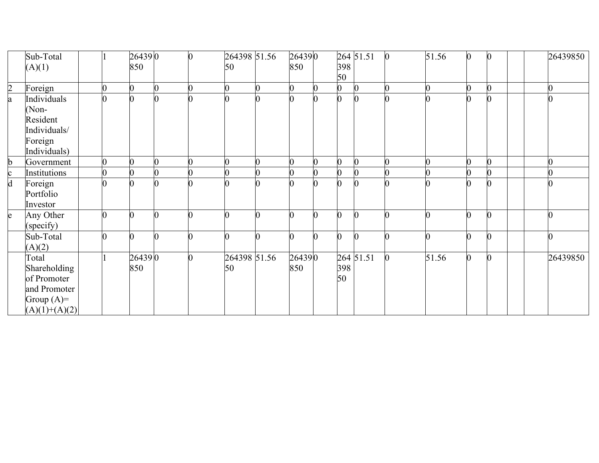|                | Sub-Total       |                | 264390         | O | 264398 51.56 | 264390         |   |                | 264 51.51 | $\vert 0 \vert$ | 51.56 | $\mathbf{0}$     |  | 26439850 |
|----------------|-----------------|----------------|----------------|---|--------------|----------------|---|----------------|-----------|-----------------|-------|------------------|--|----------|
|                | (A)(1)          |                | 850            |   | 50           | 850            |   | 398<br>50      |           |                 |       |                  |  |          |
| $\overline{2}$ | Foreign         | $\overline{0}$ | $\overline{0}$ |   | 0            | $\overline{0}$ | 0 | $\overline{0}$ | $\bf{0}$  |                 |       | 0                |  |          |
|                |                 |                |                |   |              | $\overline{0}$ |   |                |           |                 |       |                  |  |          |
| a              | Individuals     | $\overline{0}$ |                |   |              |                |   | $\overline{0}$ |           |                 |       | $\boldsymbol{0}$ |  |          |
|                | (Non-           |                |                |   |              |                |   |                |           |                 |       |                  |  |          |
|                | Resident        |                |                |   |              |                |   |                |           |                 |       |                  |  |          |
|                | Individuals/    |                |                |   |              |                |   |                |           |                 |       |                  |  |          |
|                | Foreign         |                |                |   |              |                |   |                |           |                 |       |                  |  |          |
|                | Individuals)    |                |                |   |              |                |   |                |           |                 |       |                  |  |          |
| $\mathbf b$    | Government      |                |                |   |              | $\overline{0}$ |   | $\overline{0}$ |           |                 |       |                  |  |          |
|                | Institutions    |                |                |   |              | 0              |   |                |           |                 |       |                  |  |          |
| $rac{c}{d}$    | Foreign         | $\overline{0}$ | $\overline{0}$ |   |              | 0              |   | $\overline{0}$ |           |                 |       | $\mathbf{0}$     |  |          |
|                | Portfolio       |                |                |   |              |                |   |                |           |                 |       |                  |  |          |
|                | Investor        |                |                |   |              |                |   |                |           |                 |       |                  |  |          |
| e              | Any Other       | 0              | $\Omega$       |   | n            | ⋂              | ⋂ | $\Omega$       | $\Omega$  |                 | ⋂     | $\boldsymbol{0}$ |  |          |
|                | (specify)       |                |                |   |              |                |   |                |           |                 |       |                  |  |          |
|                | Sub-Total       | n              | 0              |   | ∩            | ∩              | U | 0              | $\Omega$  |                 |       | 0                |  |          |
|                | (A)(2)          |                |                |   |              |                |   |                |           |                 |       |                  |  |          |
|                | Total           |                | 264390         |   | 264398 51.56 | 264390         |   |                | 264 51.51 |                 | 51.56 | $\overline{0}$   |  | 26439850 |
|                | Shareholding    |                | 850            |   | 50           | 850            |   | 398            |           |                 |       |                  |  |          |
|                | of Promoter     |                |                |   |              |                |   | 50             |           |                 |       |                  |  |          |
|                | and Promoter    |                |                |   |              |                |   |                |           |                 |       |                  |  |          |
|                | Group $(A)=$    |                |                |   |              |                |   |                |           |                 |       |                  |  |          |
|                | $(A)(1)+(A)(2)$ |                |                |   |              |                |   |                |           |                 |       |                  |  |          |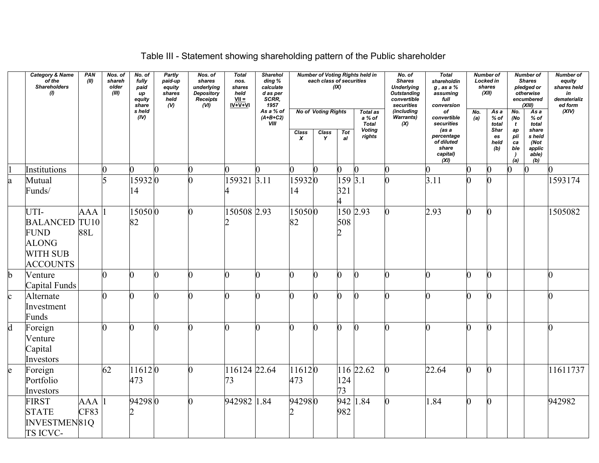# Table III - Statement showing shareholding pattern of the Public shareholder

|              | <b>Category &amp; Name</b><br>of the<br>Shareholders<br>(1)                                       | PAN<br>(II) | Nos. of<br>shareh<br>older<br>(III) | No. of<br>fully<br>paid<br>up<br>equity<br>share | <b>Partly</b><br>paid-up<br>.<br>equity:<br>shares<br>held<br>$\omega$ | Nos. of<br>shares<br>underlying<br>Depository<br>Receipts<br>(vij) | <b>Total</b><br>nos.<br>shares<br>held<br>$VII =$<br>$IV+V+VI$ | <b>Sharehol</b><br>ding %<br>calculate<br>d as per<br>SCRR,<br>1957 |                           | each class of securities                 | (IX)              | <b>Number of Voting Rights held in</b>                               | No. of<br><b>Shares</b><br><b>Underlying</b><br><b>Outstanding</b><br>convertible<br>securities | <b>Total</b><br>shareholdin<br>$g$ , as a $%$<br>assuming<br>full<br>conversion                   |            | <b>Number of</b><br>Locked in<br>shares<br>(XII)            |                                                                                   | <b>Number of</b><br><b>Shares</b><br>pledged or<br>otherwise<br>encumbered<br>(XIII) | <b>Number of</b><br>equity<br>shares held<br>in<br>dematerializ<br>ed form |
|--------------|---------------------------------------------------------------------------------------------------|-------------|-------------------------------------|--------------------------------------------------|------------------------------------------------------------------------|--------------------------------------------------------------------|----------------------------------------------------------------|---------------------------------------------------------------------|---------------------------|------------------------------------------|-------------------|----------------------------------------------------------------------|-------------------------------------------------------------------------------------------------|---------------------------------------------------------------------------------------------------|------------|-------------------------------------------------------------|-----------------------------------------------------------------------------------|--------------------------------------------------------------------------------------|----------------------------------------------------------------------------|
|              |                                                                                                   |             |                                     | s held<br>(IV)                                   |                                                                        |                                                                    |                                                                | As a % of<br>$(A+B+C2)$<br>VIII                                     | Class<br>$\boldsymbol{x}$ | <b>No of Voting Rights</b><br>Class<br>Y | <b>Tot</b><br>al  | <b>Total as</b><br>a % of<br><b>Total</b><br><b>Voting</b><br>rights | (including<br>Warrants)<br>(X)                                                                  | of<br>convertible<br>securities<br>(as a<br>percentage<br>of diluted<br>share<br>capital)<br>(XI) | No.<br>(a) | As a<br>$%$ of<br>total<br><b>Shar</b><br>es<br>held<br>(b) | No.<br>(No<br>$\mathbf{t}$<br>$\emph{ap}$<br>pli<br>ca<br>ble<br>$\lambda$<br>(a) | Asa<br>$%$ of<br>total<br>share<br>s held<br>(Not<br>applic<br>able)<br>(b)          | (XIV)                                                                      |
|              | Institutions                                                                                      |             | $\overline{0}$                      |                                                  |                                                                        |                                                                    |                                                                |                                                                     |                           |                                          |                   | $\overline{0}$                                                       |                                                                                                 | 0                                                                                                 |            | 0                                                           |                                                                                   | $\mathbf{0}$                                                                         |                                                                            |
| a            | Mutual<br>Funds/                                                                                  |             |                                     | 159320<br>14                                     |                                                                        |                                                                    | 159321 3.11<br>4                                               |                                                                     | 159320<br>14              |                                          | $159\,3.1$<br>321 |                                                                      |                                                                                                 | 3.11                                                                                              |            | ∩                                                           |                                                                                   |                                                                                      | 1593174                                                                    |
|              | UTI-<br><b>BALANCED</b> TU10<br><b>FUND</b><br><b>ALONG</b><br><b>WITH SUB</b><br><b>ACCOUNTS</b> | AAA<br>88L  |                                     | 150500<br>82                                     |                                                                        | 0                                                                  | 150508 2.93                                                    |                                                                     | 150500<br>82              |                                          | 508               | 150 2.93                                                             |                                                                                                 | 2.93                                                                                              | ∩          | ∩                                                           |                                                                                   |                                                                                      | 1505082                                                                    |
| $\mathbf b$  | Venture<br>Capital Funds                                                                          |             | O                                   | $\Omega$                                         |                                                                        | 0                                                                  | 0                                                              |                                                                     | $\overline{0}$            |                                          | 0                 |                                                                      | $\overline{0}$                                                                                  | 0                                                                                                 |            | ∩                                                           |                                                                                   |                                                                                      |                                                                            |
| $\mathbf{c}$ | Alternate<br>Investment<br>Funds                                                                  |             | $\overline{0}$                      |                                                  |                                                                        |                                                                    |                                                                |                                                                     | $\overline{0}$            |                                          |                   |                                                                      |                                                                                                 |                                                                                                   |            | 0                                                           |                                                                                   |                                                                                      |                                                                            |
| $\mathbf d$  | Foreign<br>Venture<br>Capital<br>Investors                                                        |             | n                                   | ⋂                                                |                                                                        | N                                                                  | 0                                                              |                                                                     | $\overline{0}$            |                                          |                   |                                                                      | n.                                                                                              | 0                                                                                                 |            | ∩                                                           |                                                                                   |                                                                                      | U                                                                          |
| e            | Foreign<br>Portfolio<br>Investors                                                                 |             | 62                                  | $11612$ <sub>0</sub><br>473                      |                                                                        |                                                                    | 116124 22.64<br>73                                             |                                                                     | 116120<br>473             |                                          | 124<br>73         | 116 22.62                                                            | $\overline{0}$                                                                                  | 22.64                                                                                             |            | 0                                                           |                                                                                   |                                                                                      | 11611737                                                                   |
|              | <b>FIRST</b><br><b>STATE</b><br>INVESTMEN81Q<br>TS ICVC-                                          | AAA<br>CF83 |                                     | 942980                                           |                                                                        | 0                                                                  | 942982 1.84                                                    |                                                                     | 942980<br>2               |                                          | 982               | $942$ 1.84                                                           |                                                                                                 | 1.84                                                                                              | n          | 0                                                           |                                                                                   |                                                                                      | 942982                                                                     |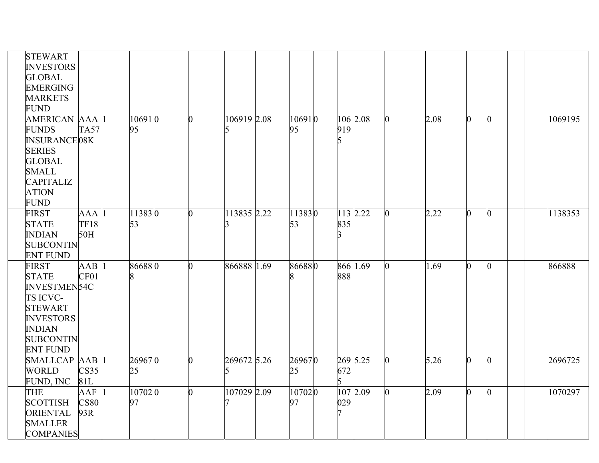| <b>STEWART</b><br><b>INVESTORS</b><br><b>GLOBAL</b><br><b>EMERGING</b><br><b>MARKETS</b><br><b>FUND</b>                                                         |                           |              |                |             |              |          |          |                |      |              |              |         |
|-----------------------------------------------------------------------------------------------------------------------------------------------------------------|---------------------------|--------------|----------------|-------------|--------------|----------|----------|----------------|------|--------------|--------------|---------|
| <b>AMERICAN AAA</b><br><b>FUNDS</b><br><b>INSURANCE08K</b><br><b>SERIES</b><br><b>GLOBAL</b><br><b>SMALL</b><br><b>CAPITALIZ</b><br><b>ATION</b><br><b>FUND</b> | <b>TA57</b>               | 106910<br>95 | $\Omega$       | 106919 2.08 | 106910<br>95 | 919      | 106 2.08 | 0              | 2.08 | n.           | $\mathbf{0}$ | 1069195 |
| <b>FIRST</b><br><b>STATE</b><br><b>INDIAN</b><br><b>SUBCONTIN</b><br><b>ENT FUND</b>                                                                            | AAA<br><b>TF18</b><br>50H | 113830<br>53 | l0             | 113835 2.22 | 113830<br>53 | 835      | 113 2.22 | 0              | 2.22 | O.           | $\mathbf{0}$ | 1138353 |
| <b>FIRST</b><br><b>STATE</b><br><b>INVESTMEN54C</b><br>TS ICVC-<br><b>STEWART</b><br><b>INVESTORS</b><br><b>INDIAN</b><br><b>SUBCONTIN</b><br><b>ENT FUND</b>   | AAB<br>CF01               | 866880       | $\Omega$       | 866888 1.69 | 866880<br>8  | 888      | 866 1.69 | $\overline{0}$ | 1.69 | n            | $\bf{0}$     | 866888  |
| SMALLCAP AAB<br><b>WORLD</b><br>FUND, INC                                                                                                                       | CS35<br>81L               | 269670<br>25 | $\overline{0}$ | 269672 5.26 | 269670<br>25 | 672<br>5 | 269 5.25 | $\overline{0}$ | 5.26 | <sup>0</sup> | $\bf{0}$     | 2696725 |
| <b>THE</b><br><b>SCOTTISH</b><br>ORIENTAL<br><b>SMALLER</b><br><b>COMPANIES</b>                                                                                 | AAF<br><b>CS80</b><br>93R | 107020<br>97 | $\Omega$       | 107029 2.09 | 107020<br>97 | 029      | 107 2.09 | $\overline{0}$ | 2.09 | O.           | $\bf{0}$     | 1070297 |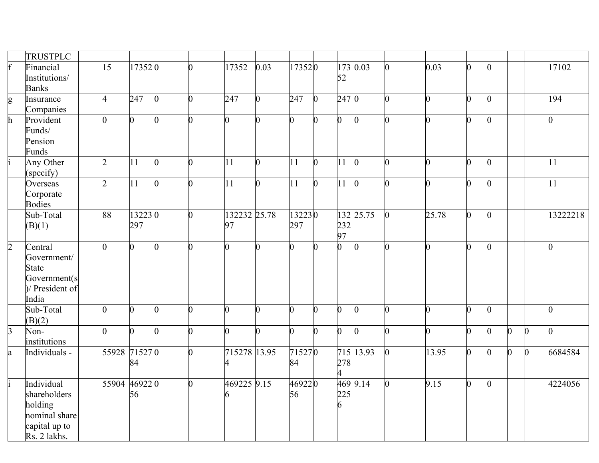|                | TRUSTPLC                                                                                |                |                |                |                |                    |                |                |                |                       |                 |                |                |   |              |                |                |                 |
|----------------|-----------------------------------------------------------------------------------------|----------------|----------------|----------------|----------------|--------------------|----------------|----------------|----------------|-----------------------|-----------------|----------------|----------------|---|--------------|----------------|----------------|-----------------|
| $\mathbf f$    | Financial<br>Institutions/<br><b>Banks</b>                                              | 15             | 173520         |                | 0              | 17352              | 0.03           | 173520         |                | 52                    | 173 0.03        | 0              | 0.03           | n |              |                |                | 17102           |
| g              | Insurance<br>Companies                                                                  | 4              | 247            | $\overline{0}$ | 0              | 247                | $\overline{0}$ | 247            | $\bf{0}$       | 247 0                 |                 | $\overline{0}$ | $\overline{0}$ | n |              |                |                | 194             |
| h              | Provident<br>Funds/<br>Pension<br>Funds                                                 | $\overline{0}$ | $\overline{0}$ |                | $\overline{0}$ | n                  | $\overline{0}$ | $\overline{0}$ | $\overline{0}$ | $\overline{0}$        | $\Omega$        | $\overline{0}$ | $\overline{0}$ | n |              |                |                | 0               |
|                | Any Other<br>(specify)                                                                  | $\overline{2}$ | 11             | 0              | $\overline{0}$ | 11                 | $\overline{0}$ | 11             | $\overline{0}$ | $ 11\rangle$          | $\bf{0}$        | $\overline{0}$ | $\overline{0}$ | 0 |              |                |                | 11              |
|                | Overseas<br>Corporate<br><b>Bodies</b>                                                  | $\overline{2}$ | 11             | $\overline{0}$ | $\overline{0}$ | 11                 | $\overline{0}$ | 11             | $\overline{0}$ | 11                    | $\vert 0 \vert$ | $\overline{0}$ | $\overline{0}$ | n | $\Omega$     |                |                | $\overline{11}$ |
|                | Sub-Total<br>(B)(1)                                                                     | 88             | 132230<br>297  |                | 0              | 132232 25.78<br>97 |                | 132230<br>297  |                | 232<br>97             | 132 25.75       | $\bf{0}$       | $\sqrt{25.78}$ | 0 | $\mathbf{0}$ |                |                | 13222218        |
| $\overline{2}$ | Central<br>Government/<br><b>State</b><br>Government(s<br>)/ President of<br>India      | $\overline{0}$ | 0              | $\overline{0}$ | $\overline{0}$ | 0                  | $\overline{0}$ | $\overline{0}$ | n              | $\overline{0}$        | $\overline{0}$  | $\overline{0}$ | $\overline{0}$ | n |              |                |                | O               |
|                | Sub-Total<br>(B)(2)                                                                     | $\overline{0}$ | 0              | 0              | $\overline{0}$ | ∩                  | $\overline{0}$ | $\overline{0}$ | $\overline{0}$ | $\overline{0}$        |                 | $\overline{0}$ | $\overline{0}$ | 0 | O            |                |                | 0               |
| $\overline{3}$ | Non-<br>institutions                                                                    | $\overline{0}$ | 0              | $\overline{0}$ | $\overline{0}$ | $\overline{0}$     | $\overline{0}$ | $\overline{0}$ | $\overline{0}$ | $\overline{0}$        | $\Omega$        | $\overline{0}$ | $\overline{0}$ | 0 | 0            | $\overline{0}$ | $\overline{0}$ | $\overline{0}$  |
| a              | Individuals -                                                                           | 55928 71527 0  | 84             |                | 0              | 715278 13.95       |                | 715270<br>84   |                | 278<br>$\overline{4}$ | 715 13.93       | $\overline{0}$ | $\sqrt{13.95}$ | 0 | 0            | $\overline{0}$ | $\bf{0}$       | 6684584         |
|                | Individual<br>shareholders<br>holding<br>nominal share<br>capital up to<br>Rs. 2 lakhs. | 55904 46922 0  | 56             |                | $\overline{0}$ | 469225 9.15        |                | 469220<br>56   |                | 225<br>6              | 469 9.14        | $\overline{0}$ | 9.15           | 0 | $\mathbf{0}$ |                |                | 4224056         |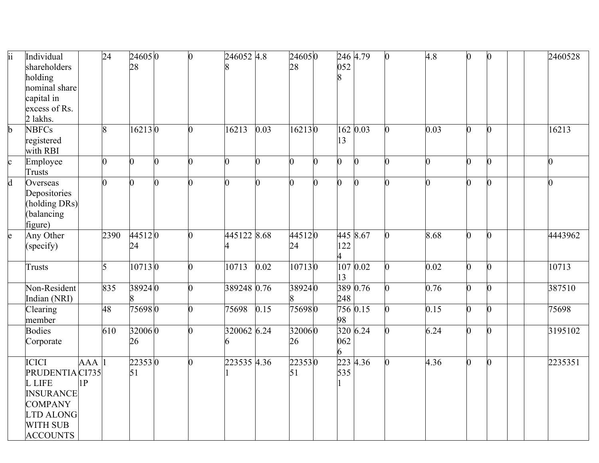| ii           | Individual<br>shareholders<br>holding<br>nominal share<br>capital in<br>excess of Rs.<br>2 lakhs.                                         |                  | 24             | 246050<br>28   | $\overline{0}$ | 246052 4.8     |          | 246050<br>28   |                | 052            | 246 4.79              | $\overline{0}$ | 4.8            | $\overline{0}$ | $\overline{0}$ |  | 2460528 |
|--------------|-------------------------------------------------------------------------------------------------------------------------------------------|------------------|----------------|----------------|----------------|----------------|----------|----------------|----------------|----------------|-----------------------|----------------|----------------|----------------|----------------|--|---------|
| b            | <b>NBFCs</b><br>registered<br>with RBI                                                                                                    |                  | 8              | 162130         | $\overline{0}$ | 16213          | 0.03     | 162130         |                | 13             | 162 0.03              | 0              | 0.03           | $\overline{0}$ | O.             |  | 16213   |
| $\mathbf c$  | Employee<br><b>Trusts</b>                                                                                                                 |                  | 0              | $\overline{0}$ | $\overline{0}$ | $\overline{0}$ | $\Omega$ | $\overline{0}$ | $\overline{0}$ | 0              | $\overline{0}$        | 0              | $\overline{0}$ | $\overline{0}$ | 0              |  |         |
| $\mathbf{d}$ | Overseas<br>Depositories<br>(holding DRs)<br>balancing<br>figure)                                                                         |                  | $\overline{0}$ | $\Omega$       | $\overline{0}$ | $\overline{0}$ | n        | $\overline{0}$ | $\overline{0}$ | $\overline{0}$ | $\boldsymbol{0}$      | $\Omega$       | $\overline{0}$ | 0              | $\Omega$       |  |         |
| e            | Any Other<br>(specify)                                                                                                                    |                  | 2390           | 445120<br>24   | $\overline{0}$ | 445122 8.68    |          | 445120<br>24   |                | 122<br>4       | 445 8.67              | $\overline{0}$ | 8.68           | $\overline{0}$ | $\overline{0}$ |  | 4443962 |
|              | Trusts                                                                                                                                    |                  | 5              | 107130         | $\overline{0}$ | 10713          | 0.02     | 107130         |                | 13             | 10700.02              | $\overline{0}$ | 0.02           | $\overline{0}$ | O.             |  | 10713   |
|              | Non-Resident<br>Indian (NRI)                                                                                                              |                  | 835            | 389240         | 0              | 389248 0.76    |          | 389240         |                | 248            | 389 0.76              | $\overline{0}$ | 0.76           | $\overline{0}$ | $\overline{0}$ |  | 387510  |
|              | Clearing<br>member                                                                                                                        |                  | 48             | 756980         | 0              | 75698          | 0.15     | 756980         |                | 98             | 756 0.15              | $\overline{0}$ | 0.15           | $\overline{0}$ | $\overline{0}$ |  | 75698   |
|              | <b>Bodies</b><br>Corporate                                                                                                                |                  | 610            | 320060<br>26   | 0              | 320062 6.24    |          | 320060<br>26   |                | 062<br>6       | 320 6.24              | $\Omega$       | 6.24           | $\overline{0}$ | 0              |  | 3195102 |
|              | <b>ICICI</b><br>PRUDENTIA CI735<br>L LIFE<br><b>INSURANCE</b><br><b>COMPANY</b><br><b>LTD ALONG</b><br><b>WITH SUB</b><br><b>ACCOUNTS</b> | <b>AAA</b><br>1P |                | 223530<br>51   | O.             | 223535 4.36    |          | 223530<br>51   |                | 535            | $\overline{223}$ 4.36 | $\overline{0}$ | 4.36           | $\overline{0}$ | $\overline{0}$ |  | 2235351 |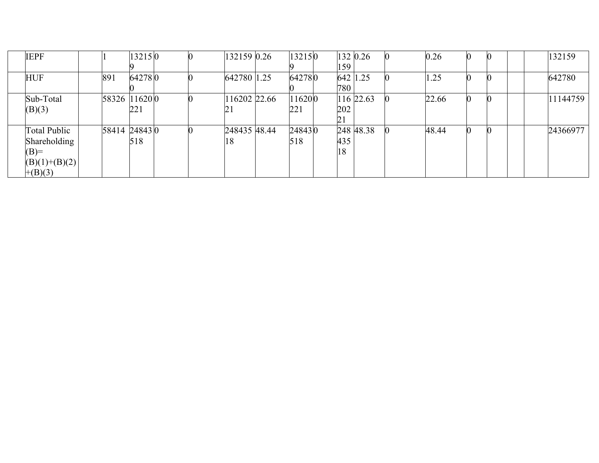| <b>IEPF</b>     |     | 132150        |  | 132159 0.26  | 132150  |     | 132 0.26  | 0.26  |  |  | 132159   |
|-----------------|-----|---------------|--|--------------|---------|-----|-----------|-------|--|--|----------|
|                 |     |               |  |              |         | 159 |           |       |  |  |          |
| <b>HUF</b>      | 891 | 642780        |  | 642780 1.25  | 642780  |     | 642 1.25  | 1.25  |  |  | 642780   |
|                 |     |               |  |              |         | 780 |           |       |  |  |          |
| Sub-Total       |     | 58326 11620 0 |  | 116202 22.66 | 116200  |     | 116 22.63 | 22.66 |  |  | 11144759 |
| (B)(3)          |     | 221           |  | 21           | 221     | 202 |           |       |  |  |          |
|                 |     |               |  |              |         | 21  |           |       |  |  |          |
| Total Public    |     | 58414 24843 0 |  | 248435 48.44 | 24843 0 |     | 248 48.38 | 48.44 |  |  | 24366977 |
| Shareholding    |     | 518           |  | 18           | 518     | 435 |           |       |  |  |          |
| $(B)=$          |     |               |  |              |         | 18  |           |       |  |  |          |
| $(B)(1)+(B)(2)$ |     |               |  |              |         |     |           |       |  |  |          |
| $+(B)(3)$       |     |               |  |              |         |     |           |       |  |  |          |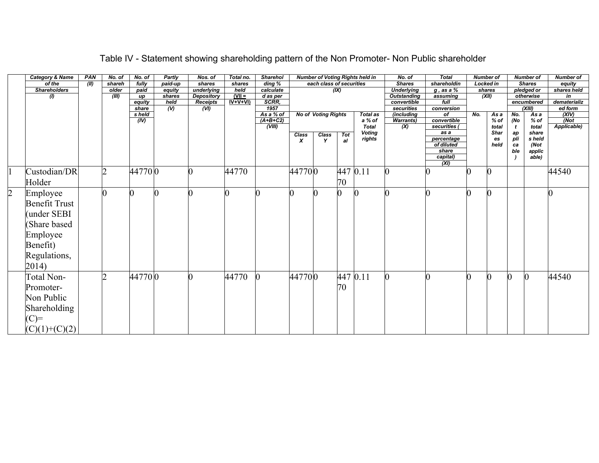|                | <b>Category &amp; Name</b> | PAN           | No. of        | No. of            | Partly           | Nos. of                 | Total no.             | <b>Sharehol</b>          |                  |                            |          | <b>Number of Voting Rights held in</b> | No. of                    | <b>Total</b>             |     | <b>Number of</b> |           | <b>Number of</b>     | <b>Number of</b>   |
|----------------|----------------------------|---------------|---------------|-------------------|------------------|-------------------------|-----------------------|--------------------------|------------------|----------------------------|----------|----------------------------------------|---------------------------|--------------------------|-----|------------------|-----------|----------------------|--------------------|
|                | of the                     | $\sqrt{(II)}$ | shareh        | fully             | paid-up          | shares                  | shares                | ding %                   |                  | each class of securities   |          |                                        | <b>Shares</b>             | shareholdin              |     | <b>Locked in</b> |           | <b>Shares</b>        | equity             |
|                | <b>Shareholders</b>        |               | older         | paid              | equity           | underlying              | held                  | calculate                |                  |                            | (IX)     |                                        | <b>Underlying</b>         | $q$ , as a $%$           |     | shares           |           | pledged or           | shares held        |
|                | $\omega$                   |               | (III)         | up                | shares           | Depository              | $(VII =$<br>$IV+V+VI$ | d as per<br><b>SCRR.</b> |                  |                            |          |                                        | <b>Outstanding</b>        | assuming                 |     | (XII)            |           | otherwise            | in<br>dematerializ |
|                |                            |               |               | equity<br>share   | held<br>$\omega$ | <b>Receipts</b><br>(VI) |                       | 1957                     |                  |                            |          |                                        | convertible<br>securities | full<br>conversion       |     |                  |           | encumbered<br>(XIII) | ed form            |
|                |                            |               |               | s held            |                  |                         |                       | As a % of                |                  | <b>No of Voting Rights</b> |          | Total as                               | <i>(including</i>         | of                       | No. | As a             | No.       | As a                 | (XIV)              |
|                |                            |               |               | $\overline{(IV)}$ |                  |                         |                       | $(A+B+C2)$               |                  |                            |          | a % of                                 | <b>Warrants</b> )         | convertible              |     | $%$ of           | (No       | % of                 | (Not)              |
|                |                            |               |               |                   |                  |                         |                       | (VIII)                   |                  |                            |          | <b>Total</b>                           | (X)                       | securities (             |     | total            |           | total                | Applicable)        |
|                |                            |               |               |                   |                  |                         |                       |                          | Class            | Class                      | Tot      | <b>Voting</b>                          |                           | as a                     |     | Shar             | ap        | share                |                    |
|                |                            |               |               |                   |                  |                         |                       |                          | $\boldsymbol{x}$ | Y                          | al       | rights                                 |                           | percentage<br>of diluted |     | es<br>held       | pli<br>ca | s held<br>(Not       |                    |
|                |                            |               |               |                   |                  |                         |                       |                          |                  |                            |          |                                        |                           | share                    |     |                  | ble       | applic               |                    |
|                |                            |               |               |                   |                  |                         |                       |                          |                  |                            |          |                                        |                           | capital)                 |     |                  |           | able)                |                    |
|                |                            |               |               |                   |                  |                         |                       |                          |                  |                            |          |                                        |                           | (XI)                     |     |                  |           |                      |                    |
|                | Custodian/DR               |               | 2             | 447700            |                  | Ю                       | 44770                 |                          | 447700           |                            | 447 0.11 |                                        |                           |                          |     | $\boldsymbol{0}$ |           |                      | 44540              |
|                | Holder                     |               |               |                   |                  |                         |                       |                          |                  |                            | 70       |                                        |                           |                          |     |                  |           |                      |                    |
|                |                            |               |               |                   |                  |                         |                       |                          |                  |                            |          |                                        |                           |                          |     |                  |           |                      |                    |
| $\overline{2}$ | Employee                   |               |               |                   |                  |                         | O                     |                          |                  |                            | O        |                                        |                           |                          |     | 0                |           |                      |                    |
|                | <b>Benefit Trust</b>       |               |               |                   |                  |                         |                       |                          |                  |                            |          |                                        |                           |                          |     |                  |           |                      |                    |
|                |                            |               |               |                   |                  |                         |                       |                          |                  |                            |          |                                        |                           |                          |     |                  |           |                      |                    |
|                | (under SEBI                |               |               |                   |                  |                         |                       |                          |                  |                            |          |                                        |                           |                          |     |                  |           |                      |                    |
|                | Share based                |               |               |                   |                  |                         |                       |                          |                  |                            |          |                                        |                           |                          |     |                  |           |                      |                    |
|                |                            |               |               |                   |                  |                         |                       |                          |                  |                            |          |                                        |                           |                          |     |                  |           |                      |                    |
|                | Employee                   |               |               |                   |                  |                         |                       |                          |                  |                            |          |                                        |                           |                          |     |                  |           |                      |                    |
|                | Benefit)                   |               |               |                   |                  |                         |                       |                          |                  |                            |          |                                        |                           |                          |     |                  |           |                      |                    |
|                | Regulations,               |               |               |                   |                  |                         |                       |                          |                  |                            |          |                                        |                           |                          |     |                  |           |                      |                    |
|                |                            |               |               |                   |                  |                         |                       |                          |                  |                            |          |                                        |                           |                          |     |                  |           |                      |                    |
|                | 2014)                      |               |               |                   |                  |                         |                       |                          |                  |                            |          |                                        |                           |                          |     |                  |           |                      |                    |
|                | Total Non-                 |               | $\mathcal{D}$ | 447700            |                  | 0                       | 44770                 |                          | 447700           |                            | 447 0.11 |                                        |                           |                          |     | 0                |           | 0                    | 44540              |
|                | Promoter-                  |               |               |                   |                  |                         |                       |                          |                  |                            | 70       |                                        |                           |                          |     |                  |           |                      |                    |
|                |                            |               |               |                   |                  |                         |                       |                          |                  |                            |          |                                        |                           |                          |     |                  |           |                      |                    |
|                | Non Public                 |               |               |                   |                  |                         |                       |                          |                  |                            |          |                                        |                           |                          |     |                  |           |                      |                    |
|                | Shareholding               |               |               |                   |                  |                         |                       |                          |                  |                            |          |                                        |                           |                          |     |                  |           |                      |                    |
|                | $(C)=$                     |               |               |                   |                  |                         |                       |                          |                  |                            |          |                                        |                           |                          |     |                  |           |                      |                    |
|                |                            |               |               |                   |                  |                         |                       |                          |                  |                            |          |                                        |                           |                          |     |                  |           |                      |                    |
|                | $(C)(1)+(C)(2)$            |               |               |                   |                  |                         |                       |                          |                  |                            |          |                                        |                           |                          |     |                  |           |                      |                    |

## Table IV - Statement showing shareholding pattern of the Non Promoter- Non Public shareholder